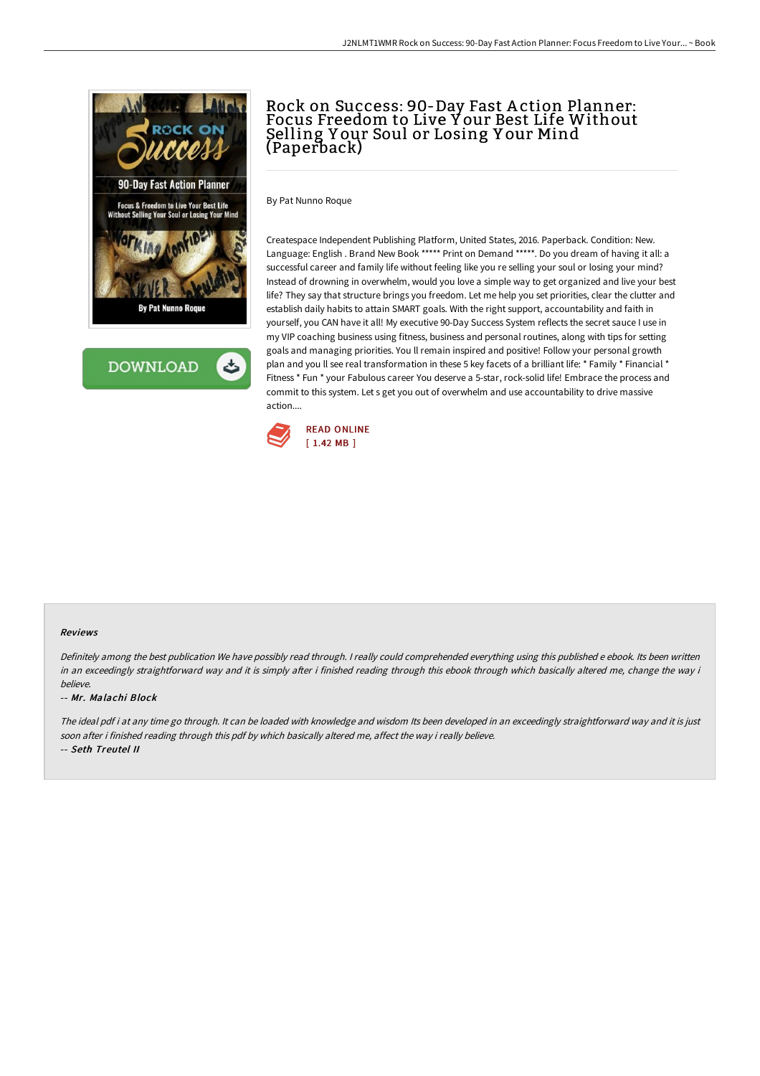



# Rock on Success: 90-Day Fast A ction Planner: Focus Freedom to Live Y our Best Life Without Selling Y our Soul or Losing Y our Mind (Paperback)

By Pat Nunno Roque

Createspace Independent Publishing Platform, United States, 2016. Paperback. Condition: New. Language: English . Brand New Book \*\*\*\*\* Print on Demand \*\*\*\*\*. Do you dream of having it all: a successful career and family life without feeling like you re selling your soul or losing your mind? Instead of drowning in overwhelm, would you love a simple way to get organized and live your best life? They say that structure brings you freedom. Let me help you set priorities, clear the clutter and establish daily habits to attain SMART goals. With the right support, accountability and faith in yourself, you CAN have it all! My executive 90-Day Success System reflects the secret sauce I use in my VIP coaching business using fitness, business and personal routines, along with tips for setting goals and managing priorities. You ll remain inspired and positive! Follow your personal growth plan and you II see real transformation in these 5 key facets of a brilliant life: \* Family \* Financial \* Fitness \* Fun \* your Fabulous career You deserve a 5-star, rock-solid life! Embrace the process and commit to this system. Let s get you out of overwhelm and use accountability to drive massive action....



#### Reviews

Definitely among the best publication We have possibly read through. <sup>I</sup> really could comprehended everything using this published <sup>e</sup> ebook. Its been written in an exceedingly straightforward way and it is simply after i finished reading through this ebook through which basically altered me, change the way i believe.

#### -- Mr. Malachi Block

The ideal pdf i at any time go through. It can be loaded with knowledge and wisdom Its been developed in an exceedingly straightforward way and it is just soon after i finished reading through this pdf by which basically altered me, affect the way i really believe. -- Seth Treutel II